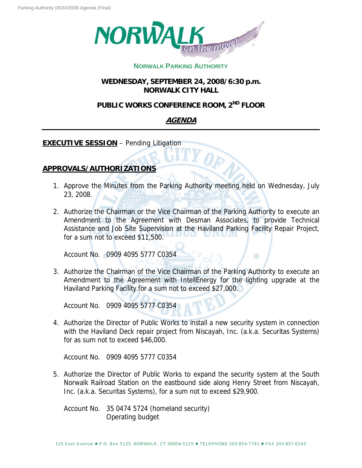

## **NORWALK PARKING AUTHORITY**

**WEDNESDAY, SEPTEMBER 24, 2008/6:30 p.m. NORWALK CITY HALL**

# **PUBLIC WORKS CONFERENCE ROOM, 2ND FLOOR**

# **AGENDA**

**EXECUTIVE SESSION** – Pending Litigation

### **APPROVALS/AUTHORIZATIONS**

- 1. Approve the Minutes from the Parking Authority meeting held on Wednesday, July 23, 2008.
- 2. Authorize the Chairman or the Vice Chairman of the Parking Authority to execute an Amendment to the Agreement with Desman Associates, to provide Technical Assistance and Job Site Supervision at the Haviland Parking Facility Repair Project, for a sum not to exceed \$11,500.

Account No. 0909 4095 5777 C0354

3. Authorize the Chairman of the Vice Chairman of the Parking Authority to execute an Amendment to the Agreement with IntellEnergy for the lighting upgrade at the Haviland Parking Facility for a sum not to exceed \$27,000.

Account No. 0909 4095 5777 C0354

4. Authorize the Director of Public Works to install a new security system in connection with the Haviland Deck repair project from Niscayah, Inc. (a.k.a. Securitas Systems) for as sum not to exceed \$46,000.

Account No. 0909 4095 5777 C0354

5. Authorize the Director of Public Works to expand the security system at the South Norwalk Railroad Station on the eastbound side along Henry Street from Niscayah, Inc. (a.k.a. Securitas Systems), for a sum not to exceed \$29,900.

Account No. 35 0474 5724 (homeland security) Operating budget